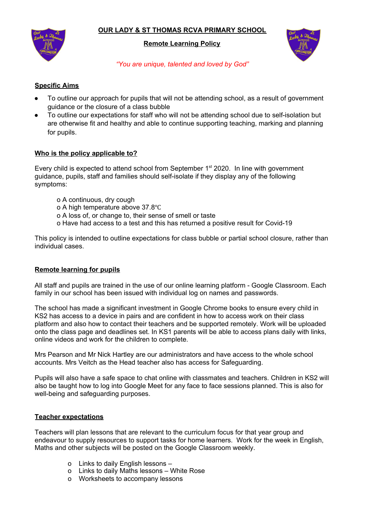# **OUR LADY & ST THOMAS RCVA PRIMARY SCHOOL**



#### **Remote Learning Policy**



*"You are unique, talented and loved by God"*

### **Specific Aims**

- To outline our approach for pupils that will not be attending school, as a result of government guidance or the closure of a class bubble
- To outline our expectations for staff who will not be attending school due to self-isolation but are otherwise fit and healthy and able to continue supporting teaching, marking and planning for pupils.

## **Who is the policy applicable to?**

Every child is expected to attend school from September 1<sup>st</sup> 2020. In line with government guidance, pupils, staff and families should self-isolate if they display any of the following symptoms:

- o A continuous, dry cough
- o A high temperature above 37.8℃
- o A loss of, or change to, their sense of smell or taste
- o Have had access to a test and this has returned a positive result for Covid-19

This policy is intended to outline expectations for class bubble or partial school closure, rather than individual cases.

#### **Remote learning for pupils**

All staff and pupils are trained in the use of our online learning platform - Google Classroom. Each family in our school has been issued with individual log on names and passwords.

The school has made a significant investment in Google Chrome books to ensure every child in KS2 has access to a device in pairs and are confident in how to access work on their class platform and also how to contact their teachers and be supported remotely. Work will be uploaded onto the class page and deadlines set. In KS1 parents will be able to access plans daily with links, online videos and work for the children to complete.

Mrs Pearson and Mr Nick Hartley are our administrators and have access to the whole school accounts. Mrs Veitch as the Head teacher also has access for Safeguarding.

Pupils will also have a safe space to chat online with classmates and teachers. Children in KS2 will also be taught how to log into Google Meet for any face to face sessions planned. This is also for well-being and safeguarding purposes.

#### **Teacher expectations**

Teachers will plan lessons that are relevant to the curriculum focus for that year group and endeavour to supply resources to support tasks for home learners. Work for the week in English, Maths and other subjects will be posted on the Google Classroom weekly.

- o Links to daily English lessons –
- o Links to daily Maths lessons White Rose
- o Worksheets to accompany lessons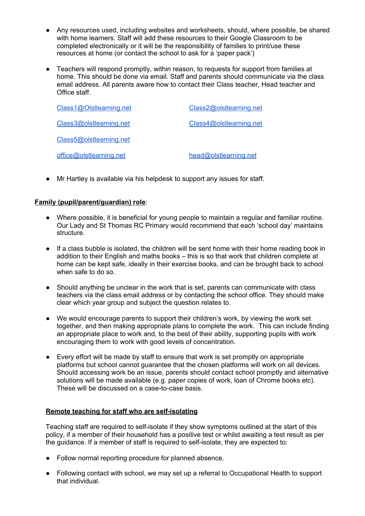- Any resources used, including websites and worksheets, should, where possible, be shared with home learners. Staff will add these resources to their Google Classroom to be completed electronically or it will be the responsibility of families to print/use these resources at home (or contact the school to ask for a 'paper pack')
- Teachers will respond promptly, within reason, to requests for support from families at home. This should be done via email. Staff and parents should communicate via the class email address. All parents aware how to contact their Class teacher, Head teacher and Office staff.

| Class1@Olstlearning.net | Class2@olstlearning.net |
|-------------------------|-------------------------|
| Class3@olstlearning.net | Class4@olstlearning.net |
| Class5@olstlearning.net |                         |
| office@olstlearning.net | head@olstlearning.net   |

● Mr Hartley is available via his helpdesk to support any issues for staff.

## **Family (pupil/parent/guardian) role**:

- Where possible, it is beneficial for young people to maintain a regular and familiar routine. Our Lady and St Thomas RC Primary would recommend that each 'school day' maintains structure.
- If a class bubble is isolated, the children will be sent home with their home reading book in addition to their English and maths books – this is so that work that children complete at home can be kept safe, ideally in their exercise books, and can be brought back to school when safe to do so.
- Should anything be unclear in the work that is set, parents can communicate with class teachers via the class email address or by contacting the school office. They should make clear which year group and subject the question relates to.
- We would encourage parents to support their children's work, by viewing the work set together, and then making appropriate plans to complete the work. This can include finding an appropriate place to work and, to the best of their ability, supporting pupils with work encouraging them to work with good levels of concentration.
- Every effort will be made by staff to ensure that work is set promptly on appropriate platforms but school cannot guarantee that the chosen platforms will work on all devices. Should accessing work be an issue, parents should contact school promptly and alternative solutions will be made available (e.g. paper copies of work, loan of Chrome books etc). These will be discussed on a case-to-case basis.

#### **Remote teaching for staff who are self-isolating**

Teaching staff are required to self-isolate if they show symptoms outlined at the start of this policy, if a member of their household has a positive test or whilst awaiting a test result as per the guidance. If a member of staff is required to self-isolate, they are expected to:

- Follow normal reporting procedure for planned absence.
- Following contact with school, we may set up a referral to Occupational Health to support that individual.